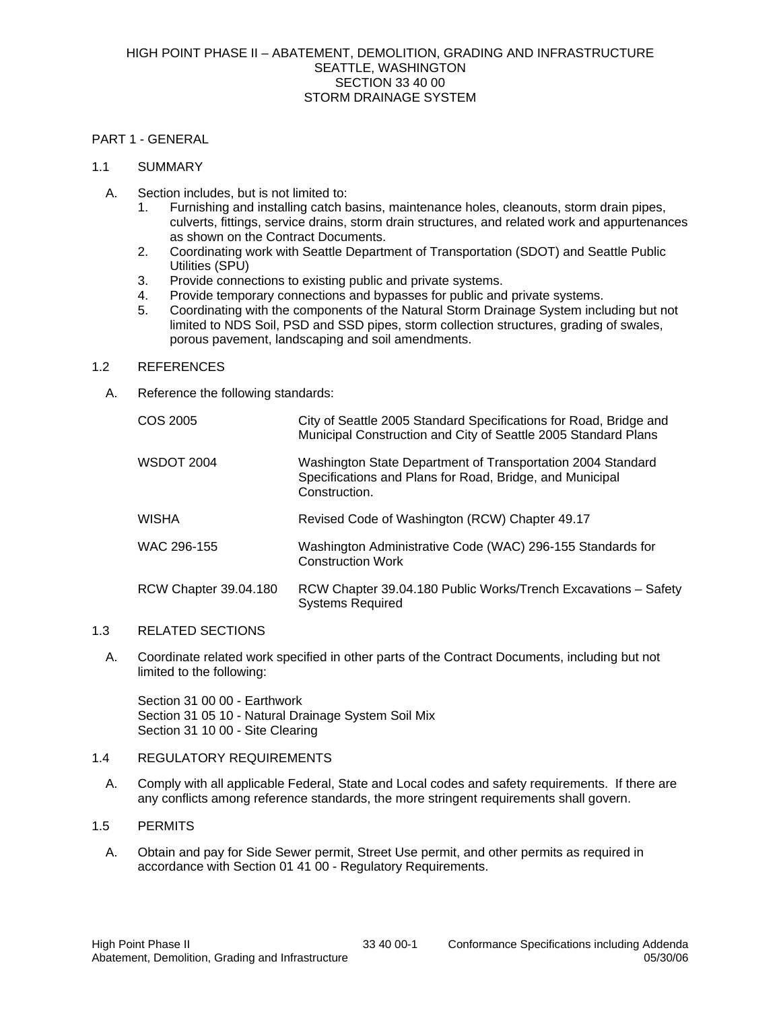#### PART 1 - GENERAL

### 1.1 SUMMARY

- A. Section includes, but is not limited to:
	- 1. Furnishing and installing catch basins, maintenance holes, cleanouts, storm drain pipes, culverts, fittings, service drains, storm drain structures, and related work and appurtenances as shown on the Contract Documents.
	- 2. Coordinating work with Seattle Department of Transportation (SDOT) and Seattle Public Utilities (SPU)
	- 3. Provide connections to existing public and private systems.
	- 4. Provide temporary connections and bypasses for public and private systems.
	- 5. Coordinating with the components of the Natural Storm Drainage System including but not limited to NDS Soil, PSD and SSD pipes, storm collection structures, grading of swales, porous pavement, landscaping and soil amendments.

# 1.2 REFERENCES

A. Reference the following standards:

| COS 2005              | City of Seattle 2005 Standard Specifications for Road, Bridge and<br>Municipal Construction and City of Seattle 2005 Standard Plans      |
|-----------------------|------------------------------------------------------------------------------------------------------------------------------------------|
| <b>WSDOT 2004</b>     | Washington State Department of Transportation 2004 Standard<br>Specifications and Plans for Road, Bridge, and Municipal<br>Construction. |
| <b>WISHA</b>          | Revised Code of Washington (RCW) Chapter 49.17                                                                                           |
| WAC 296-155           | Washington Administrative Code (WAC) 296-155 Standards for<br><b>Construction Work</b>                                                   |
| RCW Chapter 39.04.180 | RCW Chapter 39.04.180 Public Works/Trench Excavations - Safety<br><b>Systems Required</b>                                                |

# 1.3 RELATED SECTIONS

A. Coordinate related work specified in other parts of the Contract Documents, including but not limited to the following:

Section 31 00 00 - Earthwork Section 31 05 10 - Natural Drainage System Soil Mix Section 31 10 00 - Site Clearing

# 1.4 REGULATORY REQUIREMENTS

A. Comply with all applicable Federal, State and Local codes and safety requirements. If there are any conflicts among reference standards, the more stringent requirements shall govern.

# 1.5 PERMITS

A. Obtain and pay for Side Sewer permit, Street Use permit, and other permits as required in accordance with Section 01 41 00 - Regulatory Requirements.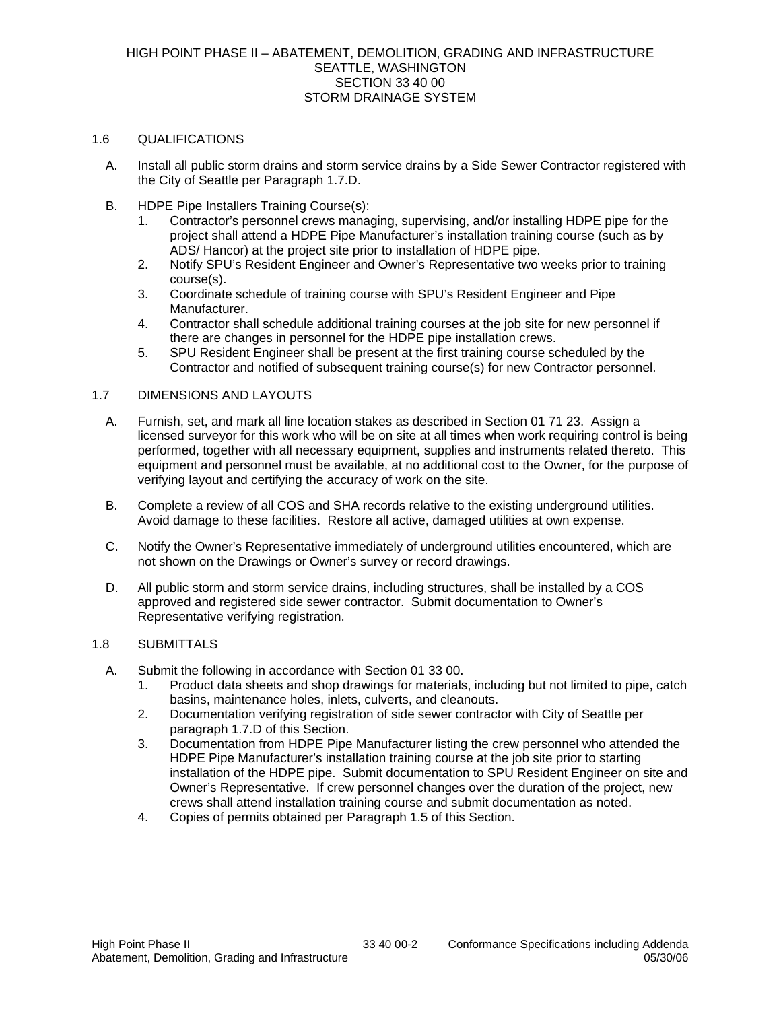### 1.6 QUALIFICATIONS

- A. Install all public storm drains and storm service drains by a Side Sewer Contractor registered with the City of Seattle per Paragraph 1.7.D.
- B. HDPE Pipe Installers Training Course(s):
	- 1. Contractor's personnel crews managing, supervising, and/or installing HDPE pipe for the project shall attend a HDPE Pipe Manufacturer's installation training course (such as by ADS/ Hancor) at the project site prior to installation of HDPE pipe.
	- 2. Notify SPU's Resident Engineer and Owner's Representative two weeks prior to training course(s).
	- 3. Coordinate schedule of training course with SPU's Resident Engineer and Pipe Manufacturer.
	- 4. Contractor shall schedule additional training courses at the job site for new personnel if there are changes in personnel for the HDPE pipe installation crews.
	- 5. SPU Resident Engineer shall be present at the first training course scheduled by the Contractor and notified of subsequent training course(s) for new Contractor personnel.

# 1.7 DIMENSIONS AND LAYOUTS

- A. Furnish, set, and mark all line location stakes as described in Section 01 71 23. Assign a licensed surveyor for this work who will be on site at all times when work requiring control is being performed, together with all necessary equipment, supplies and instruments related thereto. This equipment and personnel must be available, at no additional cost to the Owner, for the purpose of verifying layout and certifying the accuracy of work on the site.
- B. Complete a review of all COS and SHA records relative to the existing underground utilities. Avoid damage to these facilities. Restore all active, damaged utilities at own expense.
- C. Notify the Owner's Representative immediately of underground utilities encountered, which are not shown on the Drawings or Owner's survey or record drawings.
- D. All public storm and storm service drains, including structures, shall be installed by a COS approved and registered side sewer contractor. Submit documentation to Owner's Representative verifying registration.

# 1.8 SUBMITTALS

- A. Submit the following in accordance with Section 01 33 00.
	- 1. Product data sheets and shop drawings for materials, including but not limited to pipe, catch basins, maintenance holes, inlets, culverts, and cleanouts.
	- 2. Documentation verifying registration of side sewer contractor with City of Seattle per paragraph 1.7.D of this Section.
	- 3. Documentation from HDPE Pipe Manufacturer listing the crew personnel who attended the HDPE Pipe Manufacturer's installation training course at the job site prior to starting installation of the HDPE pipe. Submit documentation to SPU Resident Engineer on site and Owner's Representative. If crew personnel changes over the duration of the project, new crews shall attend installation training course and submit documentation as noted.
	- 4. Copies of permits obtained per Paragraph 1.5 of this Section.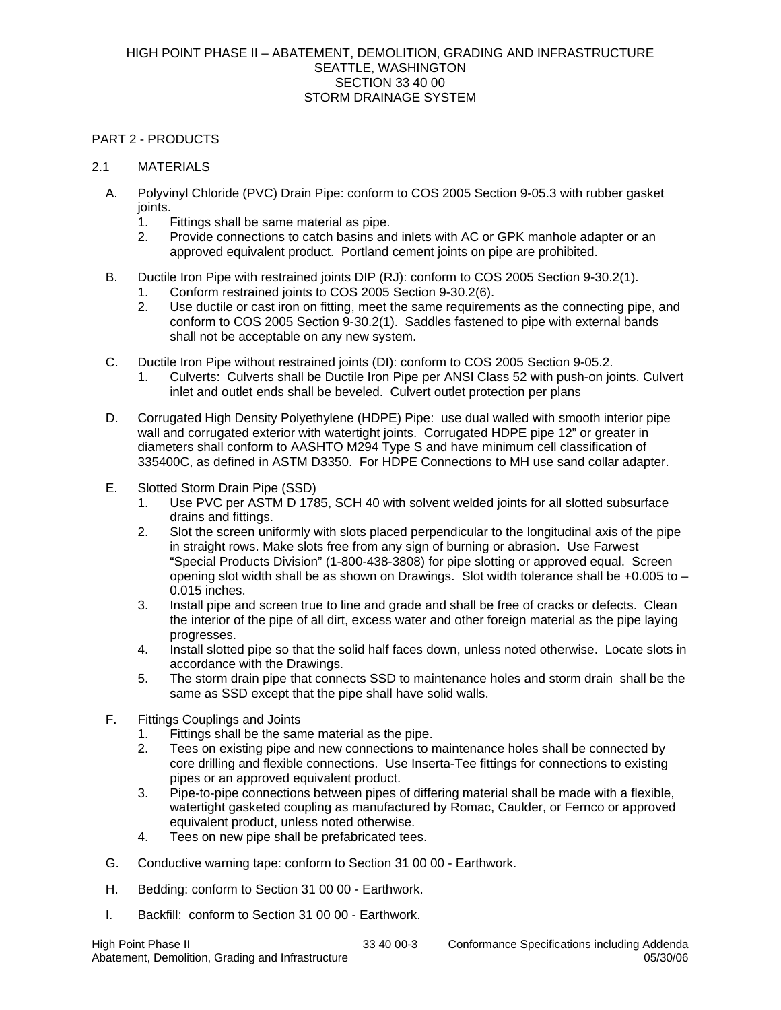### PART 2 - PRODUCTS

### 2.1 MATERIALS

- A. Polyvinyl Chloride (PVC) Drain Pipe: conform to COS 2005 Section 9-05.3 with rubber gasket joints.
	- 1. Fittings shall be same material as pipe.
	- 2. Provide connections to catch basins and inlets with AC or GPK manhole adapter or an approved equivalent product. Portland cement joints on pipe are prohibited.
- B. Ductile Iron Pipe with restrained joints DIP (RJ): conform to COS 2005 Section 9-30.2(1).
	- 1. Conform restrained joints to COS 2005 Section 9-30.2(6).
	- 2. Use ductile or cast iron on fitting, meet the same requirements as the connecting pipe, and conform to COS 2005 Section 9-30.2(1). Saddles fastened to pipe with external bands shall not be acceptable on any new system.
- C. Ductile Iron Pipe without restrained joints (DI): conform to COS 2005 Section 9-05.2.
	- 1. Culverts: Culverts shall be Ductile Iron Pipe per ANSI Class 52 with push-on joints. Culvert inlet and outlet ends shall be beveled. Culvert outlet protection per plans
- D. Corrugated High Density Polyethylene (HDPE) Pipe: use dual walled with smooth interior pipe wall and corrugated exterior with watertight joints. Corrugated HDPE pipe 12" or greater in diameters shall conform to AASHTO M294 Type S and have minimum cell classification of 335400C, as defined in ASTM D3350. For HDPE Connections to MH use sand collar adapter.
- E. Slotted Storm Drain Pipe (SSD)
	- 1. Use PVC per ASTM D 1785, SCH 40 with solvent welded joints for all slotted subsurface drains and fittings.
	- 2. Slot the screen uniformly with slots placed perpendicular to the longitudinal axis of the pipe in straight rows. Make slots free from any sign of burning or abrasion. Use Farwest "Special Products Division" (1-800-438-3808) for pipe slotting or approved equal. Screen opening slot width shall be as shown on Drawings. Slot width tolerance shall be  $+0.005$  to – 0.015 inches.
	- 3. Install pipe and screen true to line and grade and shall be free of cracks or defects. Clean the interior of the pipe of all dirt, excess water and other foreign material as the pipe laying progresses.
	- 4. Install slotted pipe so that the solid half faces down, unless noted otherwise. Locate slots in accordance with the Drawings.
	- 5. The storm drain pipe that connects SSD to maintenance holes and storm drain shall be the same as SSD except that the pipe shall have solid walls.
- F. Fittings Couplings and Joints
	- 1. Fittings shall be the same material as the pipe.
	- 2. Tees on existing pipe and new connections to maintenance holes shall be connected by core drilling and flexible connections. Use Inserta-Tee fittings for connections to existing pipes or an approved equivalent product.
	- 3. Pipe-to-pipe connections between pipes of differing material shall be made with a flexible, watertight gasketed coupling as manufactured by Romac, Caulder, or Fernco or approved equivalent product, unless noted otherwise.
	- 4. Tees on new pipe shall be prefabricated tees.
- G. Conductive warning tape: conform to Section 31 00 00 Earthwork.
- H. Bedding: conform to Section 31 00 00 Earthwork.
- I. Backfill: conform to Section 31 00 00 Earthwork.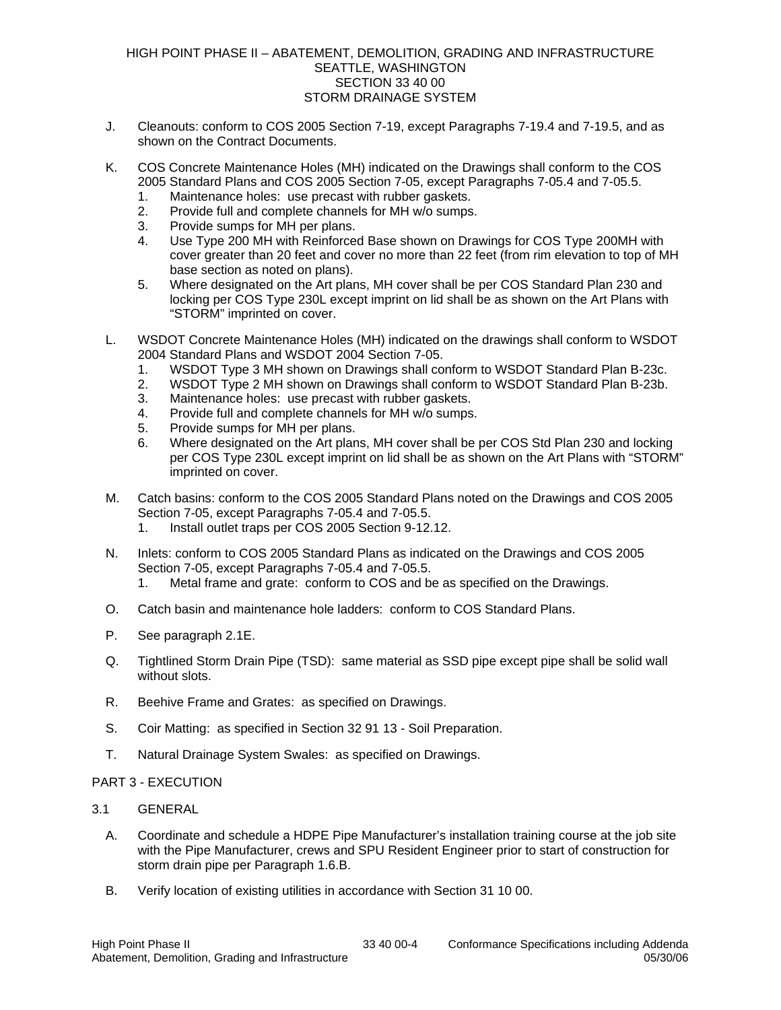### HIGH POINT PHASE II – ABATEMENT, DEMOLITION, GRADING AND INFRASTRUCTURE SEATTLE, WASHINGTON SECTION 33 40 00 STORM DRAINAGE SYSTEM

- J. Cleanouts: conform to COS 2005 Section 7-19, except Paragraphs 7-19.4 and 7-19.5, and as shown on the Contract Documents.
- K. COS Concrete Maintenance Holes (MH) indicated on the Drawings shall conform to the COS 2005 Standard Plans and COS 2005 Section 7-05, except Paragraphs 7-05.4 and 7-05.5.
	- 1. Maintenance holes: use precast with rubber gaskets.
	- 2. Provide full and complete channels for MH w/o sumps.
	- 3. Provide sumps for MH per plans.
	- 4. Use Type 200 MH with Reinforced Base shown on Drawings for COS Type 200MH with cover greater than 20 feet and cover no more than 22 feet (from rim elevation to top of MH base section as noted on plans).
	- 5. Where designated on the Art plans, MH cover shall be per COS Standard Plan 230 and locking per COS Type 230L except imprint on lid shall be as shown on the Art Plans with "STORM" imprinted on cover.
- L. WSDOT Concrete Maintenance Holes (MH) indicated on the drawings shall conform to WSDOT 2004 Standard Plans and WSDOT 2004 Section 7-05.
	- 1. WSDOT Type 3 MH shown on Drawings shall conform to WSDOT Standard Plan B-23c.
	- 2. WSDOT Type 2 MH shown on Drawings shall conform to WSDOT Standard Plan B-23b.
	- 3. Maintenance holes: use precast with rubber gaskets.
	- 4. Provide full and complete channels for MH w/o sumps.
	- 5. Provide sumps for MH per plans.
	- 6. Where designated on the Art plans, MH cover shall be per COS Std Plan 230 and locking per COS Type 230L except imprint on lid shall be as shown on the Art Plans with "STORM" imprinted on cover.
- M. Catch basins: conform to the COS 2005 Standard Plans noted on the Drawings and COS 2005 Section 7-05, except Paragraphs 7-05.4 and 7-05.5.
	- 1. Install outlet traps per COS 2005 Section 9-12.12.
- N. Inlets: conform to COS 2005 Standard Plans as indicated on the Drawings and COS 2005 Section 7-05, except Paragraphs 7-05.4 and 7-05.5.
	- 1. Metal frame and grate: conform to COS and be as specified on the Drawings.
- O. Catch basin and maintenance hole ladders: conform to COS Standard Plans.
- P. See paragraph 2.1E.
- Q. Tightlined Storm Drain Pipe (TSD): same material as SSD pipe except pipe shall be solid wall without slots.
- R. Beehive Frame and Grates: as specified on Drawings.
- S. Coir Matting: as specified in Section 32 91 13 Soil Preparation.
- T. Natural Drainage System Swales: as specified on Drawings.
- PART 3 EXECUTION
- 3.1 GENERAL
	- A. Coordinate and schedule a HDPE Pipe Manufacturer's installation training course at the job site with the Pipe Manufacturer, crews and SPU Resident Engineer prior to start of construction for storm drain pipe per Paragraph 1.6.B.
	- B. Verify location of existing utilities in accordance with Section 31 10 00.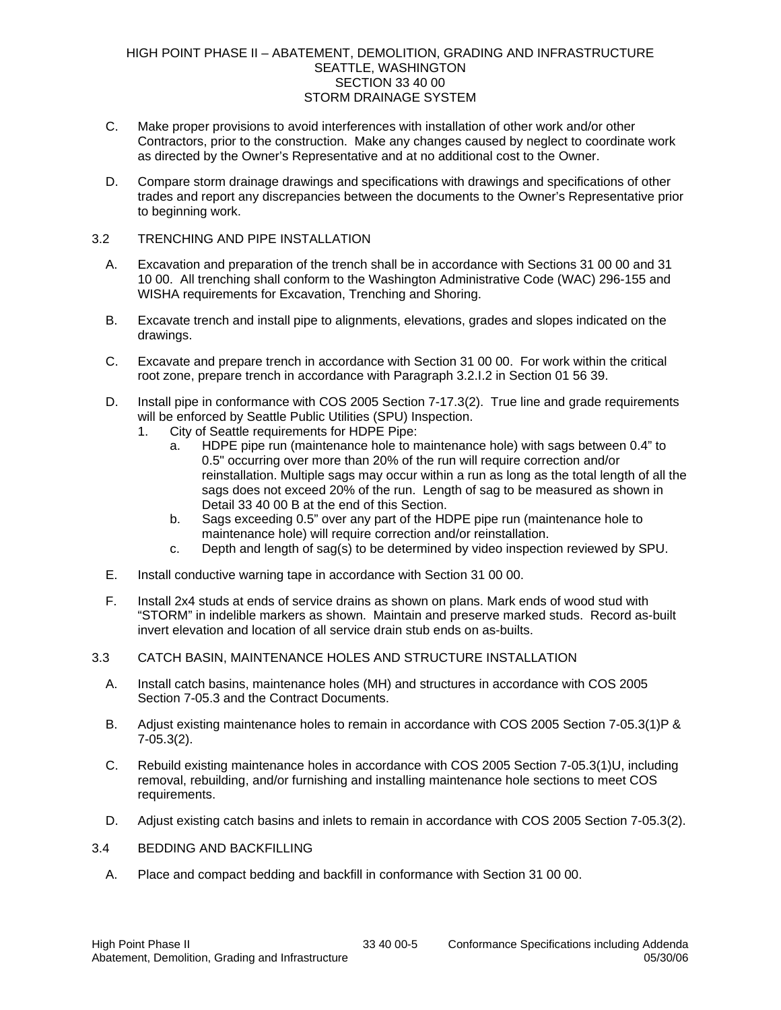### HIGH POINT PHASE II – ABATEMENT, DEMOLITION, GRADING AND INFRASTRUCTURE SEATTLE, WASHINGTON SECTION 33 40 00 STORM DRAINAGE SYSTEM

- C. Make proper provisions to avoid interferences with installation of other work and/or other Contractors, prior to the construction. Make any changes caused by neglect to coordinate work as directed by the Owner's Representative and at no additional cost to the Owner.
- D. Compare storm drainage drawings and specifications with drawings and specifications of other trades and report any discrepancies between the documents to the Owner's Representative prior to beginning work.

### 3.2 TRENCHING AND PIPE INSTALLATION

- A. Excavation and preparation of the trench shall be in accordance with Sections 31 00 00 and 31 10 00. All trenching shall conform to the Washington Administrative Code (WAC) 296-155 and WISHA requirements for Excavation, Trenching and Shoring.
- B. Excavate trench and install pipe to alignments, elevations, grades and slopes indicated on the drawings.
- C. Excavate and prepare trench in accordance with Section 31 00 00. For work within the critical root zone, prepare trench in accordance with Paragraph 3.2.I.2 in Section 01 56 39.
- D. Install pipe in conformance with COS 2005 Section 7-17.3(2). True line and grade requirements will be enforced by Seattle Public Utilities (SPU) Inspection.
	- 1. City of Seattle requirements for HDPE Pipe:
		- a. HDPE pipe run (maintenance hole to maintenance hole) with sags between 0.4" to 0.5" occurring over more than 20% of the run will require correction and/or reinstallation. Multiple sags may occur within a run as long as the total length of all the sags does not exceed 20% of the run. Length of sag to be measured as shown in Detail 33 40 00 B at the end of this Section.
		- b. Sags exceeding 0.5" over any part of the HDPE pipe run (maintenance hole to maintenance hole) will require correction and/or reinstallation.
		- c. Depth and length of sag(s) to be determined by video inspection reviewed by SPU.
- E. Install conductive warning tape in accordance with Section 31 00 00.
- F. Install 2x4 studs at ends of service drains as shown on plans. Mark ends of wood stud with "STORM" in indelible markers as shown. Maintain and preserve marked studs. Record as-built invert elevation and location of all service drain stub ends on as-builts.
- 3.3 CATCH BASIN, MAINTENANCE HOLES AND STRUCTURE INSTALLATION
	- A. Install catch basins, maintenance holes (MH) and structures in accordance with COS 2005 Section 7-05.3 and the Contract Documents.
	- B. Adjust existing maintenance holes to remain in accordance with COS 2005 Section 7-05.3(1)P & 7-05.3(2).
	- C. Rebuild existing maintenance holes in accordance with COS 2005 Section 7-05.3(1)U, including removal, rebuilding, and/or furnishing and installing maintenance hole sections to meet COS requirements.
	- D. Adjust existing catch basins and inlets to remain in accordance with COS 2005 Section 7-05.3(2).

#### 3.4 BEDDING AND BACKFILLING

A. Place and compact bedding and backfill in conformance with Section 31 00 00.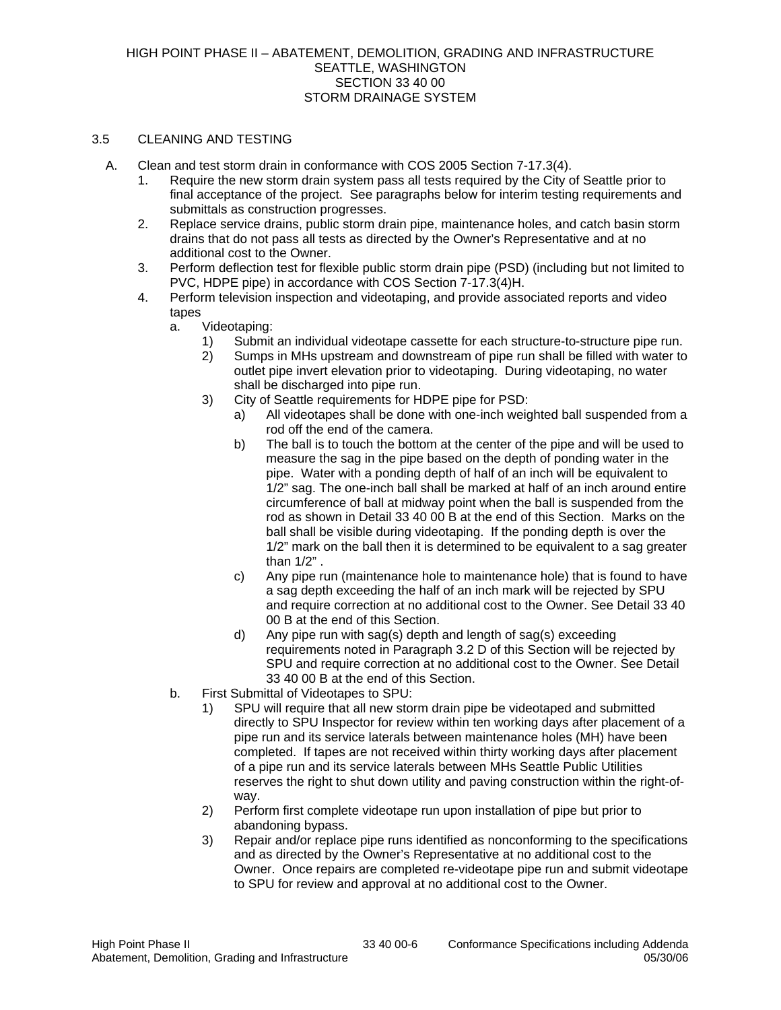### 3.5 CLEANING AND TESTING

- A. Clean and test storm drain in conformance with COS 2005 Section 7-17.3(4).
	- 1. Require the new storm drain system pass all tests required by the City of Seattle prior to final acceptance of the project. See paragraphs below for interim testing requirements and submittals as construction progresses.
	- 2. Replace service drains, public storm drain pipe, maintenance holes, and catch basin storm drains that do not pass all tests as directed by the Owner's Representative and at no additional cost to the Owner.
	- 3. Perform deflection test for flexible public storm drain pipe (PSD) (including but not limited to PVC, HDPE pipe) in accordance with COS Section 7-17.3(4)H.
	- 4. Perform television inspection and videotaping, and provide associated reports and video tapes
		- a. Videotaping:
			- 1) Submit an individual videotape cassette for each structure-to-structure pipe run.
			- 2) Sumps in MHs upstream and downstream of pipe run shall be filled with water to outlet pipe invert elevation prior to videotaping. During videotaping, no water shall be discharged into pipe run.
			- 3) City of Seattle requirements for HDPE pipe for PSD:
				- a) All videotapes shall be done with one-inch weighted ball suspended from a rod off the end of the camera.
				- b) The ball is to touch the bottom at the center of the pipe and will be used to measure the sag in the pipe based on the depth of ponding water in the pipe. Water with a ponding depth of half of an inch will be equivalent to 1/2" sag. The one-inch ball shall be marked at half of an inch around entire circumference of ball at midway point when the ball is suspended from the rod as shown in Detail 33 40 00 B at the end of this Section. Marks on the ball shall be visible during videotaping. If the ponding depth is over the 1/2" mark on the ball then it is determined to be equivalent to a sag greater than 1/2" .
				- c) Any pipe run (maintenance hole to maintenance hole) that is found to have a sag depth exceeding the half of an inch mark will be rejected by SPU and require correction at no additional cost to the Owner. See Detail 33 40 00 B at the end of this Section.
				- d) Any pipe run with sag(s) depth and length of sag(s) exceeding requirements noted in Paragraph 3.2 D of this Section will be rejected by SPU and require correction at no additional cost to the Owner. See Detail 33 40 00 B at the end of this Section.
		- b. First Submittal of Videotapes to SPU:
			- 1) SPU will require that all new storm drain pipe be videotaped and submitted directly to SPU Inspector for review within ten working days after placement of a pipe run and its service laterals between maintenance holes (MH) have been completed. If tapes are not received within thirty working days after placement of a pipe run and its service laterals between MHs Seattle Public Utilities reserves the right to shut down utility and paving construction within the right-ofway.
			- 2) Perform first complete videotape run upon installation of pipe but prior to abandoning bypass.
			- 3) Repair and/or replace pipe runs identified as nonconforming to the specifications and as directed by the Owner's Representative at no additional cost to the Owner. Once repairs are completed re-videotape pipe run and submit videotape to SPU for review and approval at no additional cost to the Owner.